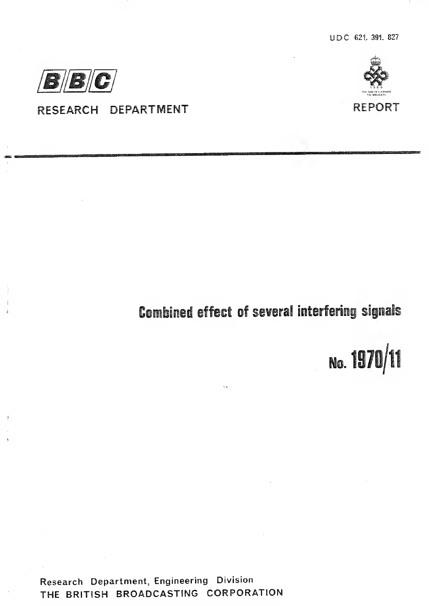





# **Combined effect of several interfering signals**

No. 1970/11

Research Department, Engineering Division THE BRITISH BROADCASTING CORPORATION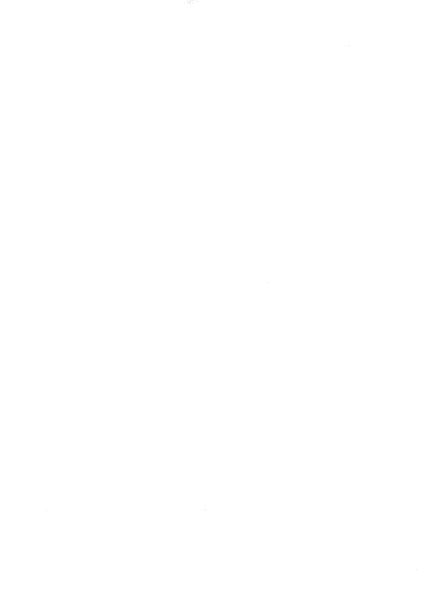a ser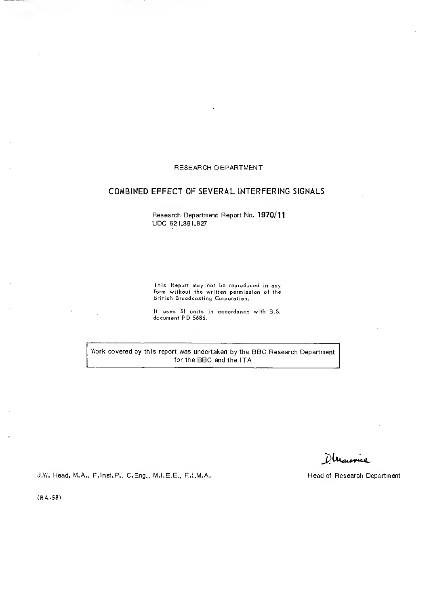#### RESEARCH DEPARTMENT

## COMBINED EFFECT OF SEVERAL INTERFERING SIGNALS

Research Department Report No. 1970/11 UDG 621.391.827

This Report may not be reproduced in any form without the written permission of the British Broadcasting Corporation.

It uses SI units in accordance with B.S. document PD 5686.

Work covered by this report was undertaken by the BBC Research Department for the BBC and the ITA

D*Warnie* 

J.W. Head, M.A., F.Inst.P., C.Eng., M.I.E.E., F.I.M.A. Head of Research Department

(RA-58)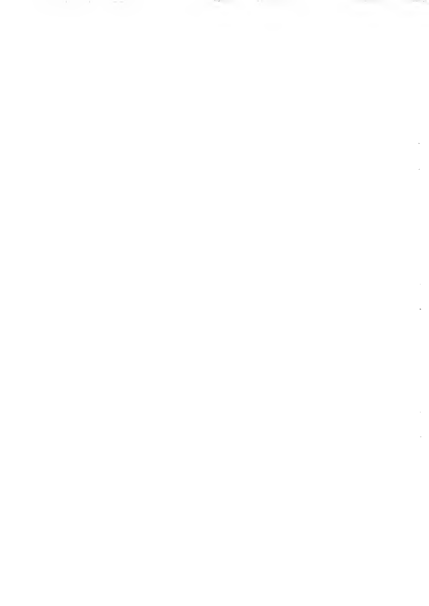and the property of in the control  $\mathcal{L}$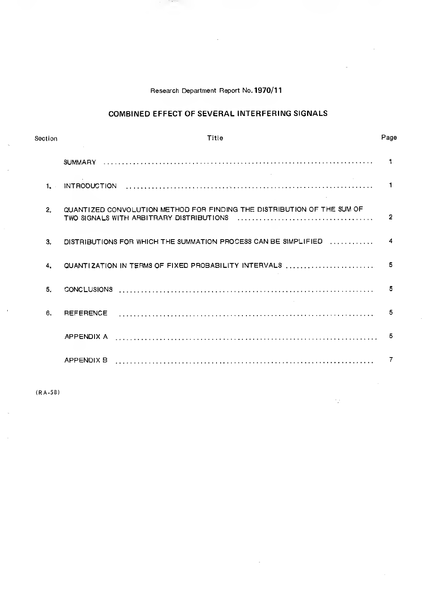## Research Department Report No. 1970/11

and the state of

## COMBINED EFFECT OF SEVERAL INTERFERING SIGNALS

| Section | Title                                                                                                               | Page |
|---------|---------------------------------------------------------------------------------------------------------------------|------|
|         | SUMMARY                                                                                                             |      |
| 1.1     | <b>INTRODUCTION</b>                                                                                                 |      |
| 2.      | QUANTIZED CONVOLUTION METHOD FOR FINDING THE DISTRIBUTION OF THE SUM OF<br>TWO SIGNALS WITH ARBITRARY DISTRIBUTIONS | 2    |
| 3.      | DISTRIBUTIONS FOR WHICH THE SUMMATION PROCESS CAN BE SIMPLIFIED                                                     | 4    |
| 4.      | QUANTIZATION IN TERMS OF FIXED PROBABILITY INTERVALS                                                                | 5    |
| 5.      | <b>CONCLUSIONS</b>                                                                                                  | 5    |
| 6.      | <b>REFERENCE</b>                                                                                                    | 5    |
|         | <b>APPENDIX A</b>                                                                                                   | 5    |
|         | <b>APPENDIX B</b>                                                                                                   | 7    |
|         |                                                                                                                     |      |

 $(RA-58)$ 

 $\epsilon_{\rm B}$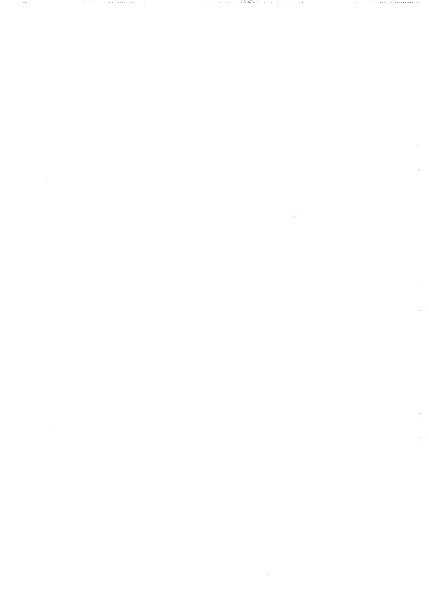$\sim$ 

 $\mathcal{A}^{\text{max}}$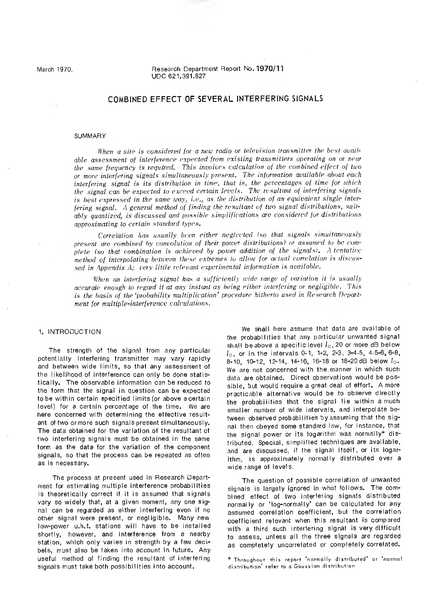larch 1970. Research Department Report No. 1970/11 UDC 621.391.827

## COMBINED EFFECT OF SEVERAL INTERFERING SIGNALS

#### SUMMARY

When a site is considered for a new radio or television transmitter the best available assessment of interference expected from existing transmitters operating on or near the same frequency is required. This involves calculation of the combined effect of two or more interfering signals simultaneously present. The information available about each interfering signal is its distribution in time, that is, the percentages of time for which the signal can be expected to exceed certain levels. The resultant of interfering signals is best expressed in the same way, i.e., as the distribution of an equivalent single interfering signal. A general method of finding the resultant of two signal distributions, suitably quantized, is discussed and possible simplifications are considered for distributions approximating to certain standard types.

Correlation has usually been cither neglected (so that signals simultaneously present are combined by convolution of their power distributions) or assumed to be complete (so that combination is achieved by power addition of the signals). A tentative method of interpolating between these extremes to allow for actual correlation is discussed in Appendix A; very little relevant experimental information is available.

When an interfering signal has a sufficiently wide range of variation it is usually accurate enough to regard it at any instant as being either interfering or negligible. This is the basis of the 'probability multiplication' procedure hitherto used in Research Department for multiple-interference calculations.

#### 1. INTRODUCTION

The strength of the signal from any particular potentially interfering transmitter may vary rapidiy and between wide limits, so that any assessment of the likelihood of interference can only be done statistically. The observable information can be reduced to the form that the signal in question can be expected to be within certain specified limits (or above a certain level) for a certain percentage of the time. We are here concerned with determining the effective resultant of two ormore such signals present simultaneously. The data obtained for the variation of the resultant of two interfering signals must be obtained in the same form as the data for the variation of the component signals, so that the process can be repeated as often as is necessary.

The process at present used in Research Department for estimating multiple interference probabilities is theoretically correct if it is assumed that signals vary so widely that, at a given moment, any one signal can be regarded as either interfering even if no other signal were present, or negligible. Many new low-power u.h.f. stations will have to be installed shortly, however, and interference from a nearby station, which only varies in strength by a few decibels, must also be taken into account in future. Any useful method of finding the resultant of interfering signals must take both possibilities into account.

We shall here assume that data are available of the probabilities that any particular unwanted signal shall be above a specific level  $I_0$ , 20 or more dB below  $I_0$ , or in the intervals 0-1, 1-2, 2-3, 3-4.5, 4.5-6, 6-8, 8-10, 10-12, 12-14, 14-16, 16-18 or 18-20 dB below  $I_0$ . We are not concerned with the manner in which such data are obtained. Direct observations would be possible, but would require <sup>a</sup> great deal of effort. A more practicable alternative would be to observe directly the probabilities that the signal lie within a much smaller number of wide intervals, and interpolate between observed probabilities byassuming that the signal then obeyed some standard law, for instance, that the signal power or its logarithm was normally\* distributed. Special, simplified techniques are available, and are discussed, if the signal itself, or its logarithm, is approximately normally distributed over a wide range of levels.

The question of possible correlation of unwanted signals is largely ignored in what follows. The combined effect of two interfering signals distributed normally or 'log-normally' can be calculated for any assumed correlation coefficient, but the correlation coefficient relevant when this resultant is compared with a third such interfering signal is very difficult to assess, unless all the three signals are regarded as completely uncorrelated or completely correlated.

<sup>\*</sup> Throughout this report 'normally di stributed' or 'normal distribution' refer to <sup>a</sup> Goussion distribution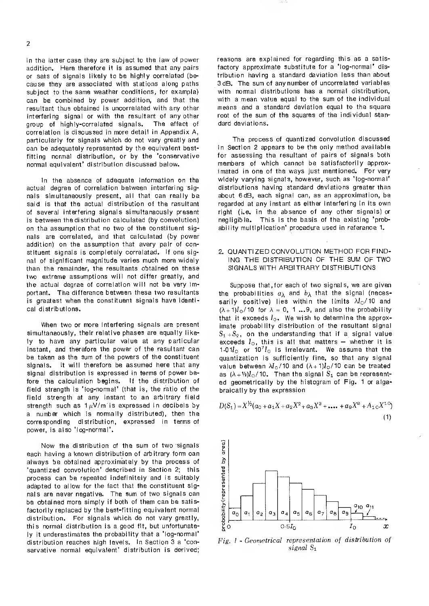In the latter case they are subject to the law of power addition. Here therefore it is assumed that any pairs or sets of signals likely to be highly correlated (because they are associated with stations along paths subject to the same weather conditions, for example) can be combined by power addition, and that the resultant thus obtained is uncorrelated with any other interfering signal or with the resultant of any other group of highly-correlated signals. The effect of correlation is discussed in more detail in Appendix A, particularly for signals which do not vary greatly and can be adequately represented by the equivalent bestfitting normal distribution, or by the 'conservative normal equivalent' distribution discussed below.

In the absence of adequate information on the actual degree of correlation between interfering signals simultaneously present, all that can really be said is that the actual distribution of the resultant of several interfering signals simultaneously present is between thedistribution calculated (by convolution) on the assumption that no two of the constituent signals are correlated, and that calculated (by power addition) on the assumption that every pair of constituent signals is completely correlated. If one signal of significant magnitude varies much more widely than the remainder, the resultants obtained on these two extreme assumptions will not differ greatly, and the actual degree of correlation will not be very important. The difference between these two resultants is greatest when the constituent signals have identical distributions.

When two or more interfering signals are present simultanaously, their relative phases are equally likely to have any particular value at any particular instant, and therefore the power of the resultant can be taken as the sum of the powers of the constituent signals. It will therefore be assumed here that any signal distribution is expressed in terms of power before the calculation begins. If the distribution of field strength is 'log-normal' (that is, the ratio of the field strength at any instant to an arbitrary field strength such as  $1\mu$ V/m is expressed in decibels by a number which is normally distributed), then the corresponding distribution, expressed in terms of power, is also 'log-normal'.

Now the distribution of the sum of two signals each having a known distribution of arbitrary form can always be obtained approximately by the process of 'quantized convolution' described in Section 2; this process can be repeated Indefinitely and is suitably adapted to allow for the fact that the constituent signals are never negative. The sum of two signals can be obtained more simply if both of them can be satisfactorily replaced by the best-fitting equivalent normal distribution. For signals which do not vary greatly, this normal distribution is a good fit, but unfortunately it underestimates the probability that a 'log-normal' distribution reaches high levels. In Section 3 a 'conservative normal equivalent' distribution is derived; reasons are explained for regarding this as a satisfactory approximate substitute for a 'log-normal' distribution having a standard deviation less than about 3dB. The sum of anynumber of uncorrelated variables with normal distributions has a normal distribution, with a mean value equal to the sum of the individual means and a standard deviation equal to the square root of the sum of the squares of the individual standard deviations.

The process of quantized convolution discussed in Section 2 appears to be the only method available for assessing the resultant of pairs of signals both members of which cannot be satisfactorily approximated in one of the ways just mentioned. For very widely varying signals, however, such as 'log-normal' distributions having standard deviations greater than about 6dB, each signal can, as an approximation, be regarded at any instant as either Interfering in its own right (i.e. in the absence of any other signals) or negligible. This Is the basis of the existing 'probability multiplication' procedure used in reference 1.

#### 2. QUANTIZED CONVOLUTION METHOD FOR FIND-ING THE DISTRIBUTION OF THE SUM OF TWO SIGNALS WITH ARBITRARY DISTRIBUTIONS

Suppose that, for each of two signals, we are given the probabilities  $a_{\lambda}$  and  $b_{\lambda}$  that the signal (necessarily positive) lies within the limits  $\lambda I_0/10$  and  $(\lambda + 1)I_0/10$  for  $\lambda = 0, 1...9$ , and also the probability that it exceeds  $I_0$ . We wish to determine the approximate probability distribution of the resultant signal  $S_1 + S_2$ , on the understanding that if a signal value exceeds  $I_{\Omega}$ , this is all that matters - whether it is 1.01 $l_0$  or 10<sup>7</sup> $l_0$  is irrelevant. We assume that the quantization Is sufficiently fine, so that any signal value between  $\lambda I_0/10$  and  $(\lambda + 1)I_0/10$  can be treated as  $(\lambda + \frac{1}{2})I_0/10$ . Then the signal  $S_1$  can be represented geometrically by the histogram of Fig. <sup>1</sup> or algebraically by the expression

$$
D(S_1) = X^{1/2}(a_0 + a_1X + a_2X^2 + a_3X^3 + \dots + a_9X^9 + A_{10}X^{10})
$$
<sup>(1)</sup>



Fig. <sup>I</sup> - Geometrical representation of distribution of signal Si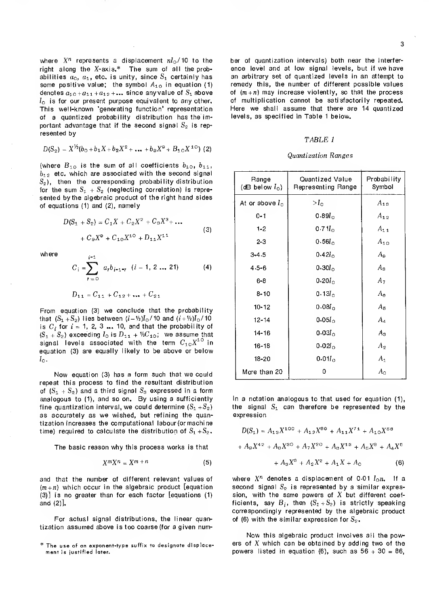where  $X^n$  represents a displacement  $nI_0/10$  to the right along the  $X$ -axis.\* The sum of all the probabilities  $a_0$ ,  $a_1$ , etc. is unity, since  $S_1$  certainly has some positive value; the symbol  $A_{10}$  in equation (1) denotes  $a_{10}$  +  $a_{11}$  +  $a_{12}$  +... since any value of  $S_1$  above  $I_0$  is for our present purpose equivalent to any other. This well-known 'generating function' representation of a quantized probability distribution has the Important advantage that if the second signal  $S_2$  is represented by

$$
D(S_2) = X^{1/2}(b_0 + b_1X + b_2X^2 + \dots + b_9X^9 + B_{10}X^{10})
$$
 (2)

(where  $B_{10}$  is the sum of all coefficients  $b_{10}$ ,  $b_{11}$ ,  $b_{12}$  etc. which are associated with the second signal  $S_2$ ), then the corresponding probability distribution for the sum  $S_1 + S_2$  (neglecting correlation) is represented by the algebraic product of the right hand sides of equations (1) and (2), namely

$$
D(S_1 + S_2) = C_1 X + C_2 X^2 + C_3 X^3 + \dots
$$
  
+  $C_9 X^9 + C_{10} X^{10} + D_{11} X^{11}$  (3)

where  $\frac{1}{100}$ 

$$
C_i = \sum_{r=0}^{i-1} a_r b_{i-1-r} \quad (i = 1, 2 \dots 21)
$$
 (4)

$$
D_{11} = C_{11} + C_{12} + \dots + C_{21}
$$

From equation (3) we conclude that the probability that  $(S_1 + S_2)$  lies between  $(i - \frac{1}{2})I_0/10$  and  $(i + \frac{1}{2})I_0/10$ is  $C_i$  for  $i = 1, 2, 3 ... 10$ , and that the probability of  $(S_1 + S_2)$  exceeding  $I_0$  is  $D_{11} + V_1C_{10}$ ; we assume that signal levels associated with the term  $C_{10}X^{10}$  in equation (3) are equally likely to be above or below  $I_{\Omega}$ .

Now equation (3) has a form such that we could repeat this process to find the resultant distribution of  $(S_1 + S_2)$  and a third signal  $S_3$  expressed in a form analogous to (1), and so on. By using a sufficiently fine quantization interval, we could determine  $(S_1 + S_2)$ as accurately as we wished, but refining the quantization increases the computational labour (or machine time) required to calculate the distribution of  $S_1 + S_2$ .

The basic reason why this process works is that

$$
X^m X^n = X^{m+n} \tag{5}
$$

and that the number of different relevant values of  $(m+n)$  which occur in the algebraic product [equation (3)] is no greater than for each factor [equations (1) and (2)].

For actual signal distributions, the linear quantization assumed above is too coarse (for a given number of quantization intervals) both near the interference level and at low signal levels, but if we have an arbitrary set of quantized levels in an attempt to remedy this, the number of different possible values of  $(m+n)$  may increase violently, so that the process of multiplication cannot be satisfactorily repeated. Here we shall assume that there are 14 quantized levels, as specified in Table <sup>1</sup> below.

#### TABLE <sup>1</sup>

#### Quantization Ranges

| Range<br>(dB below $I_{\odot}$ ) | Quantized Value<br>Representing Range | Probability<br>Symbol |
|----------------------------------|---------------------------------------|-----------------------|
| At or above $I_{\odot}$          | $> l_{\circ}$                         | $A_{13}$              |
| $0 - 1$                          | 0.89I <sub>0</sub>                    | $A_{12}$              |
| $1 - 2$                          | 0.71 $l_{\odot}$                      | $A_{1,1}$             |
| $2-3$                            | $0.56I_{\odot}$                       | $A_{10}$              |
| $3 - 4.5$                        | $0.42I_{\odot}$                       | $A_{\Theta}$          |
| $4.5 - 6$                        | $0.30I_{\odot}$                       | А <sub>в</sub>        |
| $6 - 8$                          | $0.20I_\odot$                         | А,                    |
| $8 - 10$                         | 0 $\cdot$ 13 $l_{\Omega}$             | $A_{\rm e}$           |
| $10 - 12$                        | $0.08I_\odot$                         | $A_{5}$               |
| $12 - 14$                        | 0.05I <sub>0</sub>                    | $A_4$                 |
| $14 - 16$                        | $0.03I_{\odot}$                       | $A_{3}$               |
| $16 - 18$                        | $0.02I_{\odot}$                       | $A_{2}$               |
| $18 - 20$                        | $0.01I_{\odot}$                       | $A_1$                 |
| More than 20                     | 0                                     | $A_{\rm O}$           |

In a notation analogous to that used for equation (1), the signal  $S_1$  can therefore be represented by the expression

$$
D(S_1) = A_{1.9}X^{100} + A_{1.2}X^{89} + A_{1.1}X^{71} + A_{1.0}X^{86}
$$

$$
+ A_9X^{42} + A_8X^{80} + A_7X^{20} + A_8X^{18} + A_5X^8 + A_4X^5
$$

$$
+ A_3X^8 + A_2X^2 + A_1X + A_0
$$
(6)

where  $X^n$  denotes a displacement of 0.01  $I_0n$ . If a second signal  $S_2$  is represented by a similar expression, with the same powers of  $X$  but different coefficients, say  $B_i$ , then  $(S_1 + S_2)$  is strictly speaking correspondingly represented by the algebraic product of (6) with the similar expression for  $S_2$ .

Now this algebraic product involves all the powers of  $X$  which can be obtained by adding two of the powers listed in equation (6), such as  $56 + 30 = 86$ ,

<sup>\*</sup> The use of an exponent-type suffix to designate displacement is justified later.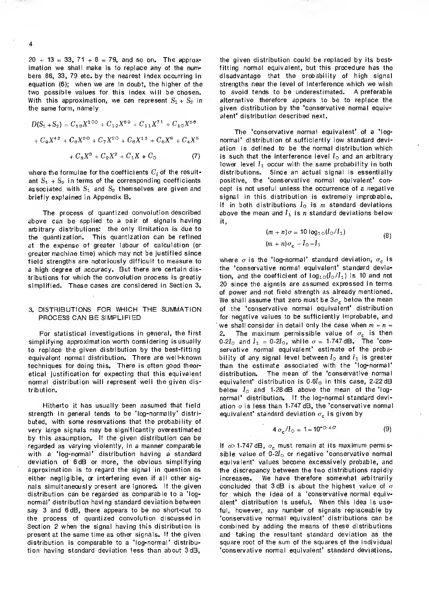$20 + 13 = 33$ ,  $71 + 8 = 79$ , and so on. The approximation we shall make is to replace any of the numbers 86, 33, 79 etc. by the nearest index occurring in equation (6); when we are in doubt, the higher of the two possible values for this index will be chosen. With this approximation, we can represent  $S_1 + S_2$  in the same form, namely

$$
D(S_1 + S_2) = C_{13}X^{100} + C_{12}X^{89} + C_{11}X^{71} + C_{10}X^{58}
$$

$$
+ C_9X^{42} + C_8X^{30} + C_7X^{20} + C_8X^{13} + C_5X^8 + C_4X^5
$$

$$
+ C_3X^3 + C_2X^2 + C_1X + C_0
$$
(7)

where the formulae for the coefficients  $C_i$  of the resultant  $S_1 + S_2$  in terms of the corresponding coefficients associated, with  $S_1$  and  $S_2$  themselves are given and briefly explained in Appendix B.

The process of quantized convolution described above can be applied to a pair of signals having arbitrary distributions: the only limitation is due to the quantization. This quantization can be refined at the expense of greater labour of calculation (or greater machine time) which may not be justified since field strengths are notoriously difficult to measure to a high degree of accuracy. But there are certain distributions for which the convolution process is greatly simplified. These cases are considered in Section 3.

#### 3. DISTRIBUTIONS FOR WHICH THE SUMMATION PROCESS CAN BE SIMPLIFIED

For statistical investigations in general, the first simplifying approximation worth considering is usually to replace the given distribution by the best-fitting equivalent normal distribution. There are well-known techniques for doing this. There is often good theoretical justification for expecting that this equivalent normal distribution will represent well the given distribution.

Hitherto it has usually been assumed that field strength in general tends to be 'log-normally' distributed, with some reservations that the probability of very large signals may be significantly overestimated by this assunption. If the given distribution can be regarded as varying violently, in a manner comparable with a 'log-normal' distribution having a standard deviation of 6dB or more, the obvious simplifying approximation is to regard the signal in question as either negligible, or interfering even if all other signals simultaneously present are ignored. If the given distribution can be regarded as comparable to a 'lognormal\* distribution having standard deviation between say 3 and 6dB, there appears to be no short-cut to the process of quantized convolution discussed in Section 2 when the signal having this distribution is present at the same time as other signals. If the given distribution is comparable to a 'log-normal' distribution having standard deviation less than about 3dB,

the given distribution could be replaced by its bestfitting normal equivalent, but this procedure has the disadvantage that the probability of high signal strengths near the level of interference which we wish to avoid tends to be underestimated. A preferable alternative therefore appears to be to replace the given distribution by the 'conservative normal equivalent<sup>\*</sup> distribution described next.

The 'conservative normal equivalent' of a 'lognormal' distribution of sufficiently low standard deviation is defined to be the normal distribution which is such that the interference level  $I_0$  and an arbitrary lower level  $I_1$  occur with the same probability in both distributions. Since an actual signal is essentially positive, the 'conservative normal equivalent' concept is not useful unless the occurrence of a negative signal in this distribution is extremely improbable. If in both distributions  $I_0$  is m standard deviations above the mean and  $I_1$  is n standard deviations below it,

$$
(m+n)\sigma = 10 \log_{10}(I_0/I_1)
$$
  
\n
$$
(m+n)\sigma_c = I_0 - I_1
$$
 (8)

where  $\sigma$  is the 'log-normal' standard deviation,  $\sigma_c$  is the 'conservative normal equivalent' standard deviation, and the coefficient of  $log_{10}(I_0/I_1)$  is 10 and not 20 since the signals are assumed expressed in terms of power and not field strength as already mentioned. We shall assume that zero must be  $3\sigma_c$  below the mean of the 'conservative normal equivalent' distribution for negative values to be sufficiently improbable, and we shall consider in detail only the case when  $m = n =$ The maximum permissible value of  $\sigma_c$  is then 0.2 $I_0$  and  $I_1 = 0.2I_0$ , while  $\sigma = 1.747$  dB. The 'conservative normal equivalent' estimate of the probability of any signal level between  $I_0$  and  $I_1$  is greater than the estimate associated with the 'log-normal' distribution. The mean of the 'conservative normal equivalent' distribution is  $0.6I<sub>0</sub>$  in this case, 2-22 dB below  $I_0$  and 1.28 dB above the mean of the 'lognormal' distribution. If the log-normal standard deviation  $\sigma$  is less than 1-747 dB, the 'conservative nomial equivalent' standard deviation  $\sigma_c$  is given by

$$
4 \sigma_c / I_0 = 1 - 10^{-0.4} \sigma
$$
 (9)

If  $\sigma$ > 1.747 dB,  $\sigma_c$  must remain at its maximum permissible value of  $0.2l_0$  or negative 'conservative normal equivalent' values become excessively probable, and the discrepancy between the two distributions rapidly increases. We have therefore somewhat arbitrarily concluded that 3dB is about the highest value of  $\sigma$ for which the idea of a 'conservative normal equivalent' distribution is useful. When this idea is useful, however, any number of signals replaceable by 'conservative normal equivalent' distributions can be combined by adding the means of these distributions and taking the resultant standard deviation as the square root of the sum of the squares of the individual 'conservative normal equivalent\* standard deviations.

 $\overline{\mathbf{4}}$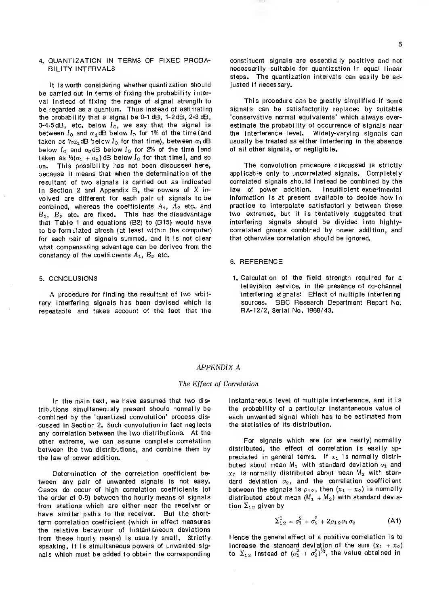#### 4. QUANTIZATION IN TERMS OF FIXED PROBA-BILITY INTERVALS

It isworth considering whether quantization should be carried out in terms of fixing the probability interval instead of fixing the range of signal strength to be regarded as a quantum. Thus instead of estimating the probability that a signal be 0-1 dB, 1-2dB, 2-3 dB, 3-4.5dB, etc. below  $I_0$ , we say that the signal is between  $I_{\text{Q}}$  and  $\alpha_1$ dB below  $I_{\text{Q}}$  for 1% of the time(and taken as  $\sqrt{2}\alpha_1$ dB below  $I_0$  for that time), between  $\alpha_1$ dB below  $I_0$  and  $\alpha_2$ dB below  $I_0$  for 2% of the time [and taken as  $\frac{1}{2}(\alpha_1 + \alpha_2)$  dB below  $I_0$  for that time], and so on. This possibility has not been discussed here, because It means that when the determination of the resultant of two signals is carried out as indicated in Section 2 and Appendix B, the powers of  $X$  involved are different for each pair of signals to be combined, whereas the coefficients  $A_1$ ,  $A_2$  etc. and  $B_1$ ,  $B_2$  etc. are fixed. This has the disadvantage that Table <sup>1</sup> and equations (B2) to (B15) would have to be formulated afresh (at least within the computer) for each pair of signals summed, and It Is not clear what compensating advantage can be derived from the constancy of the coefficients  $A_1$ ,  $B_2$  etc.

#### 5. CONCLUSIONS

A procedure for finding the resultant of two arbitrary interfering signals has been devised which is repeatable and takes account of the fact that the

constituent signals are essentially positive and not necessarily suitable for quantization in equal linear steps. The quantization intervals can easily be adjusted if necessary.

This procedure can be greatly simplified if some signals can be satisfactorily replaced by suitable 'conservative normal equivalents' which always overestimate the probability of occurrence of signals near the interference level. Widely-varying signals can usually be treated as either interfering in the absence of all other signals, or negligible.

The convolution procedure discussed is strictly applicable only to uncorrelated signals. Completely correlated signals should instead be combined by the law of power addition. Insufficient experimental information is at present available to decide how in practice to interpolate satisfactorily between these two extremes, but it is tentatively suggested that interfering signals should be divided Into highlycorrelated groups combined by power addition, and that otherwise correlation should be ignored.

#### 6. REFERENCE

1. Calculation of the field strength required for a television service, in the presence of co-channel interfering signals: Effect of multiple interfering sources. BBC Research Department Report No. RA-12/2, Serial No. 1968/43.

#### APPENDIX A

#### The Effect of Correlation

In the main text, we have assumed that two distributions simultaneously present should normally be combined by the 'quantized convolution' process discussed in Section 2. Such convolution in fact neglects any correlation between the two distributions. At the other extreme, we can assume complete correlation between the two distributions, and combine them by the law of power addition.

Determination of the correlation coefficient between any pair of unwanted signals is not easy. Cases do occur of high correlation coefficients (of the order of 0-9) between the hourly means of signals from stations which are either near the receiver or have similar paths to the receiver. But the shortterm correlation coefficient (which in effect measures the relative behaviour of Instantaneous deviations from these hourly means) Is usually small. Strictly speaking, it is simultaneous powers of unwanted signals which must be added to obtain the corresponding

instantaneous level of multiple interference, and it is the probability of a particular instantaneous value of each unwanted signal which has to be estimated from the statistics of its distribution.

For signals which are (or are nearly) normally distributed, the effect of correlation is easily appreciated in general terms. If  $x_1$  is normally distributed about mean  $M_1$  with standard deviation  $\sigma_1$  and  $x_2$  is normally distributed about mean  $M_2$  with standard deviation  $\sigma_2$ , and the correlation coefficient between the signals is  $p_{12}$ , then  $(x_1 + x_2)$  is normally distributed about mean  $(M_1 + M_2)$  with standard deviation  $\Sigma_{12}$  given by

$$
\Sigma_{12}^2 = \sigma_1^2 + \sigma_2^2 + 2\rho_{12}\sigma_1\sigma_2 \tag{A1}
$$

Hence the general effect of a positive correlation is to increase the standard deviation of the sum  $(x_1$  +  $x_2)$ to  $\Sigma_{1\,2}$  instead of  $(\sigma_{1}^{e}$  +  $\sigma_{2}^{e})^{r_{2}}$ , the value obtained in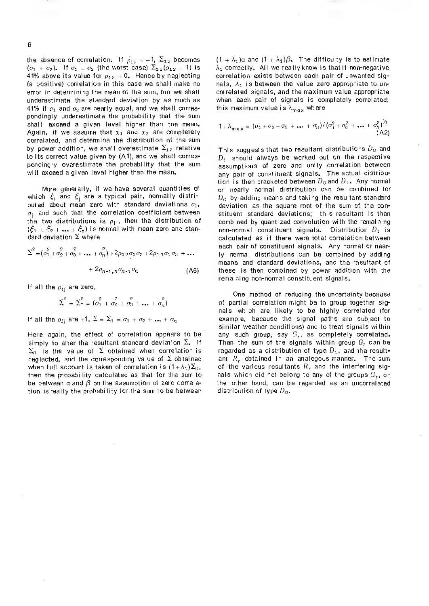the absence of correlation. If  $\rho_{12} = +1$ ,  $\Sigma_{12}$  becomes  $(\sigma_1 + \sigma_2)$ . If  $\sigma_1 = \sigma_2$  (the worst case)  $\Sigma_{12}(\rho_{12} = 1)$  is 41% above its value for  $\rho_{12} = 0$ . Hence by neglecting (a positive) correlation in this case we shall make no error in determining the mean of the sum, but we shall underestimate the standard deviation by as much as 41% if  $\sigma_1$  and  $\sigma_2$  are nearly equal, and we shall correspondingly underestimate the probability that the sum shall exceed a given level higher than the mean. Again, if we assume that  $x_1$  and  $x_2$  are completely correlated, and determine the distribution of the sum by power addition, we shall overestimate  $\Sigma_{12}$  relative to its correct value given by (A1), and we shall correspondingly overestimate the probability that the sum will exceed a given level higher than the mean.

More generally, if we have several quantities of which  $\xi$  and  $\xi$  are a typical pair, normally distributed about mean zero with standard deviations  $\sigma_i$ ,  $\sigma_i$  and such that the correlation coefficient between the two distributions is  $\rho_{ij}$ , then the distribution of  $(\xi_1 + \xi_2 + \dots + \xi_n)$  is normal with mean zero and standard deviation  $\Sigma$  where

$$
\Sigma^{2} = (\sigma_{1}^{2} + \sigma_{2}^{2} + \sigma_{3}^{2} + \dots + \sigma_{n}^{2}) + 2\rho_{12}\sigma_{1}\sigma_{2} + 2\rho_{13}\sigma_{1}\sigma_{3} + \dots + 2\rho_{n-1,n}\sigma_{n-1}\sigma_{n}
$$
 (A6)

If all the  $\rho_{ij}$  are zero,

$$
\Sigma^2 = \Sigma_0^2 = ( \sigma_1^2 + \sigma_2^2 + \sigma_3^2 + \dots + \sigma_n^2 )
$$

If all the  $\rho_{ij}$  are +1,  $\Sigma = \Sigma_1 = \sigma_1 + \sigma_2 + \ldots + \sigma_n$ 

Here again, the effect of correlation appears to be simply to alter the resultant standard deviation  $\Sigma$ . If  $\Sigma_0$  is the value of  $\Sigma$  obtained when correlation is neglected, and the corresponding value of  $\Sigma$  obtained when full account is taken of correlation is  $(1+\lambda_1)\Sigma_0$ , then the probability calculated as that for the sum to be between  $\alpha$  and  $\beta$  on the assumption of zero correlation is really the probability for the sum to be between

 $(1 + \lambda_1)\alpha$  and  $(1 + \lambda_1)\beta$ . The difficulty is to estimate  $\lambda_1$  correctly. All we really know is that if non-negative correlation exists between each pair of unwanted signals,  $\lambda_1$  is between the value zero appropriate to uncorrelated signals, and the maximum value appropriate when each pair of signals is completely correlated; this maximum value is  $\lambda_{max}$  where

$$
1 + \lambda_{\max} = (\sigma_1 + \sigma_2 + \sigma_3 + \dots + \sigma_n) / (\sigma_1^2 + \sigma_2^2 + \dots + \sigma_n^2)^{\frac{1}{2}}
$$
  
(A2)

This suggests that two resultant distributions  $D_0$  and  $D_1$  should always be worked out on the respective assumptions of zero and unity correlation between any pair of constituent signals. The actual distribution is then bracketed between  $D_{\text{o}}$  and  $D_{\text{1}}$ . Any normal or nearly norma! distribution can be combined for  $D_0$  by adding means and taking the resultant standard deviation as the square root of the sum of the constituent standard deviations; this resultant is then combined by quantized convolution with the remaining non-normal constituent signals. Distribution  $D_1$  is calculated as if there were total correlation between each pair of constituent signals. Any normal or nearly normal distributions can be combined by adding means and standard deviations, and the resultant of these is then combined by power addition with the remaining non-normal constituent signals.

One method of reducing the uncertainty because of partial correlation might be to group together signals which are likely to be highly correlated (for example, because the signal paths are subject to similar weather conditions) and to treat signals within any such group, say  $G_r$ , as completely correlated. Then the sum of the signals within group  $G_r$  can be regarded as a distribution of type  $D_1$ , and the resultant  $R_r$ , obtained in an analogous manner. The sum of the various resultants  $R_r$ , and the interfering signals which did not belong to any of the groups  $G_{\tau\tau}$  on the other hand, can be regarded as an uncorrelated distribution of type  $D_{\Omega}$ .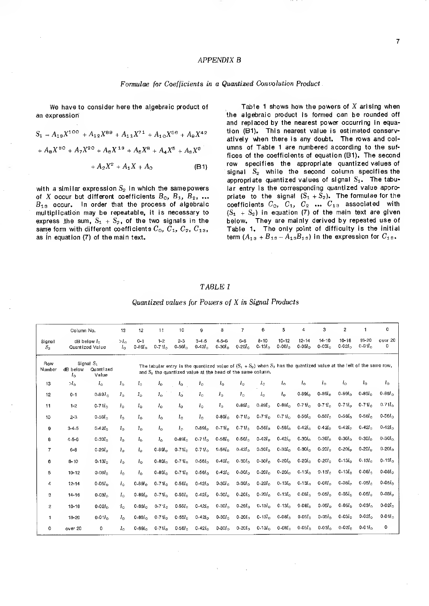#### APPENDIX B

#### Formulae for Coefficients in a Quantized Convolution Product

We have to consider here the algebraic product of an expression

$$
S_1 = A_{13}X^{100} + A_{12}X^{80} + A_{11}X^{71} + A_{10}X^{56} + A_9X^{42}
$$
  
+ 
$$
A_8X^{80} + A_7X^{20} + A_8X^{18} + A_5X^8 + A_4X^5 + A_8X^8
$$
  
+ 
$$
A_2X^2 + A_1X + A_0
$$
 (B1)

with a similar expression  $S_2$  in which the samepowers of X occur but different coefficients  $B_0$ ,  $B_1$ ,  $B_2$ , ...  $B_{13}$  occur. In order that the process of algebraic multiplication may be repeatable, it is necessary to express the sum,  $S_1 + S_2$ , of the two signals in the same form with different coefficients  $C_0$ ,  $C_1$ ,  $C_2$ ,  $C_{13}$ , as in equation (7) of the main text.

Table 1 shows how the powers of  $X$  arising when the algebraic product is formed can be rounded off and replaced by the nearest power occurring in equation (Bl). This nearest value is estimated conservatively when there is any doubt. The rows and columns of Table <sup>1</sup> are numbered according to the suffices of the coefficients of equation (B1). The second row specifies the appropriate quantized values of signal  $S_2$  while the second column specifies the appropriate quantized values of signal  $S_1$ . The tabular entry is the corresponding quantized value appropriate to the signal  $(S_1 + S_2)$ . The formulae for the coefficients  $C_0$ ,  $C_1$ ,  $C_2$  ...  $C_{18}$  associated with  $(S_1 + S_2)$  in equation (7) of the main text are given below. They are mainly derived by repeated use of Table 1. The only point of difficulty is the initial term  $(A_{13} + B_{13} - A_{13}B_{13})$  in the expression for  $C_{13}$ .

#### TABLE <sup>1</sup>

#### Quantized values for Powers of X in Signal Products

|                   | Column No.               |                                     | 13                              | 12                                                                                                                                                                                        | 11                   | 10                  | 9                            | 8                               | 7                  | 6                           | 5                              | 4                               | 3                        | $\overline{2}$         | 1                  | 0                  |
|-------------------|--------------------------|-------------------------------------|---------------------------------|-------------------------------------------------------------------------------------------------------------------------------------------------------------------------------------------|----------------------|---------------------|------------------------------|---------------------------------|--------------------|-----------------------------|--------------------------------|---------------------------------|--------------------------|------------------------|--------------------|--------------------|
| Signal<br>$S_{2}$ |                          | $dB$ below $I_0$<br>Quantized Value | >I <sub>0</sub><br>$I_{\Omega}$ | $0 - 1$<br>$0.89I_0$                                                                                                                                                                      | $1 - 2$<br>$0.711_0$ | $2 - 3$<br>0.56     | $3 - 4.5$<br>$0.42J_{\odot}$ | $4.5 - 6$<br>0.30I <sub>0</sub> | $6 - 8$<br>0.201   | $8 - 10$<br>$0.13I_{\odot}$ | $10 - 12$<br>0.08 <sub>0</sub> | $12 - 14$<br>0.051 <sub>0</sub> | $14 - 16$<br>$0.03I_{0}$ | $16 - 18$<br>$0.021 -$ | 18-20<br>$0.01l_0$ | over 20<br>0       |
| Row<br>Number     | dB below<br>$I_{\Omega}$ | Signal $S_1$<br>Quantized<br>Value  |                                 | The tabular entry is the quantized value of $(S_1 + S_2)$ when $S_3$ has the quantized value at the left of the same row,<br>and $S2$ the quantized value at the head of the same column. |                      |                     |                              |                                 |                    |                             |                                |                                 |                          |                        |                    |                    |
| 13                | $>I_{\Omega}$            | $I_0$                               | lο                              | $I_0$                                                                                                                                                                                     | $l_0$                | $I_0$               | l <sub>0</sub>               | $I_0$                           | $I_{\Omega}$       | $l_{\rm n}$                 | $I_{\Omega}$                   | $I_0$                           | $I_0$                    | $l_0$                  | $I_0$              | $I_0$              |
| 12                | $0 - 1$                  | 0.891 <sub>0</sub>                  | l <sub>0</sub>                  | I <sub>0</sub>                                                                                                                                                                            | $I_0$                | I <sub>0</sub>      | $I_0$                        | $l_0$                           | $I_0$              | I <sub>0</sub>              | $I_0$                          | 0.89I <sub>o</sub>              | 0.89 <sub>0</sub>        | $0.89I_0$              | $0.89I_{0}$        | 0.89 <sub>n</sub>  |
| 11                | $1 - 2$                  | $0.71$ <sub>n</sub>                 | $I_0$                           | $I_{\Omega}$                                                                                                                                                                              | $l_0$                | $I_{\sigma}$        | I <sub>o</sub>               | $I_0$                           | $0.89I_0$          | 0.89 <sub>0</sub>           | $0.89I_0$                      | $0.711_{\odot}$                 | $0.71_{0}$               | $0.711_{\odot}$        | $0.711_{0}$        | 0.71I <sub>0</sub> |
| 10                | $2 - 3$                  | 0.56I <sub>0</sub>                  | $I_0$                           | $l_0$                                                                                                                                                                                     | $l_0$                | Ιo                  | I <sub>0</sub>               | $0.89I_0$                       | 0.71I <sub>0</sub> | $0.71I_{\odot}$             | 0.711 <sub>0</sub>             | 0.56l <sub>0</sub>              | $0.56I_{p}$              | $0.561$ <sub>c</sub>   | 0.56I <sub>0</sub> | 0.567 <sub>n</sub> |
| 9                 | $3 - 4.5$                | $0.42I_0$                           | $I_{\rm O}$                     | $I_0$                                                                                                                                                                                     | $I_0$                | $I_0$               | $0.89I_0$                    | $0.71l_0$                       | $0.71I_0$          | 0.561 <sub>0</sub>          | $0.56I_{D}$                    | 0.42I <sub>0</sub>              | 0.42 <sub>0</sub>        | $0.42J_{\odot}$        | $0.42I_{0}$        | 0.421 <sub>0</sub> |
| 8                 | $4.5 - 6$                | $0.30I_{0}$                         | $I_{\alpha}$                    | $I_0$                                                                                                                                                                                     | $I_0$                | $0.89I_0$           | $0.71l_0$                    | $0.56I_0$                       | $0.56I_{D}$        | 0.42 <sub>0</sub>           | $0.42I_{p}$                    | 0.30I <sub>0</sub>              | 0.301 <sub>c</sub>       | 0.30I <sub>O</sub>     | $0.30I_0$          | $0.30I_{0}$        |
| 7                 | $6 - 8$                  | 0.20 <sub>b</sub>                   | $I_0$                           | $I_0$                                                                                                                                                                                     | 0.89 <sub>0</sub>    | $0.71 l_{p}$        | 0.711 <sub>o</sub>           | 0.56I <sub>o</sub>              | 0.42I <sub>0</sub> | 0.30I <sub>o</sub>          | 0.30I <sub>0</sub>             | $0.30I_0$                       | $0.20I_0$                | 0.20 <sub>0</sub>      | $0.20I_{D}$        | $0.20I_{D}$        |
| 6                 | $8 - 10$                 | 0.131 <sub>n</sub>                  | $l_0$                           | $I_0$                                                                                                                                                                                     | $0.89I_{0}$          | $0.71$ <sub>0</sub> | 0.561 <sub>0</sub>           | 0.42I <sub>0</sub>              | 0.30I <sub>0</sub> | 0.307 <sub>0</sub>          | $0.20I_{\Omega}$               | $0.20I_{0}$                     | 0.201 <sub>0</sub>       | $0.13I_0$              | $0.13I_0$          | $0.13I_{0}$        |
| 5                 | $10 - 12$                | $0.08I_{p}$                         | $I_0$                           | $I_{0}$                                                                                                                                                                                   | $0.89I_{\Omega}$     | 0.711 <sub>0</sub>  | $0.56 l_{c}$                 | $0.42I_0$                       | 0.30I <sub>o</sub> | $0.20I_{\odot}$             | $0.20I_{\odot}$                | $0.13I_{\odot}$                 | $0.13I_0$                | $0.13I_{\odot}$        | 0.081              | 0.08I <sub>D</sub> |
| 4                 | $12 - 14$                | $0.05I_{0}$                         | $I_0$                           | $0.89I_0$                                                                                                                                                                                 | $0.711_0$            | 0.56I <sub>0</sub>  | $0.42J_{\odot}$              | 0.30I <sub>0</sub>              | $0.30I_{\odot}$    | $0.20I_0$                   | $0.13 l_{\rm D}$               | 0.13I <sub>0</sub>              | 0.081 <sub>0</sub>       | $0.08l_0$              | $0.05I_0$          | 0.05I <sub>0</sub> |
| з                 | $14 - 16$                | $0.03I_0$                           | $I_0$                           | $0.89I_{\Omega}$                                                                                                                                                                          | 0.711 <sub>0</sub>   | 0.56I <sub>0</sub>  | $0.42J_{\odot}$              | 0.30I <sub>0</sub>              | $0.20I_{0}$        | $0.20I_{\Omega}$            | $0.13I_0$                      | $0.08I_{0}$                     | $0.05l_0$                | 0.051 <sub>0</sub>     | $0.05I_{D}$        | 0.03 <sub>b</sub>  |
| 2                 | 16-18                    | $0.02I_0$                           | $I_0$                           | $0.89I_{\Omega}$                                                                                                                                                                          | 0.71 <sub>0</sub>    | 0.56I <sub>0</sub>  | $0.42J_{\odot}$              | 0.301 <sub>0</sub>              | 0.201 <sub>0</sub> | 0.131 <sub>0</sub>          | $0.13I_{\odot}$                | 0.08I <sub>0</sub>              | $0.05l_0$                | 0.051 <sub>0</sub>     | 0.03I <sub>0</sub> | 0.02I <sub>0</sub> |
| 1.                | 18-20                    | $0.01I_{p}$                         | $l_{\rm D}$                     | $0.89I_0$                                                                                                                                                                                 | $0.71I_{\odot}$      | 0.56I <sub>0</sub>  | $0.42I_{\odot}$              | $0.30I_0$                       | $0.20I_0$          | 0.131 <sub>0</sub>          | $0.08I_0$                      | $0.05I_{\odot}$                 | $0.05I_0$                | $0.03I_{0}$            | 0.021 <sub>0</sub> | 0.011 <sub>n</sub> |
| 0                 | over 20                  | 0                                   | l0                              | 0.89I <sub>0</sub>                                                                                                                                                                        | $0.71I_{\text{D}}$   | 0.56I <sub>0</sub>  | $0.42I_{O}$                  | 0.30I <sub>O</sub>              | 0.20I <sub>0</sub> | 0.13I <sub>o</sub>          | $0.08I_{\odot}$                | 0.05I <sub>0</sub>              | 0.03 <sub>b</sub>        | $0.02I_{0}$            | $0.01l_0$          | 0                  |